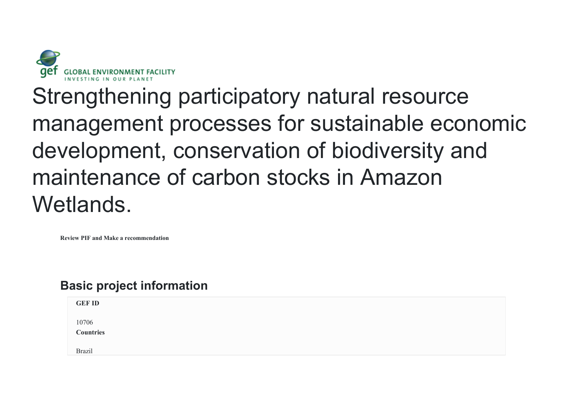

Strengthening participatory natural resource management processes for sustainable economic development, conservation of biodiversity and maintenance of carbon stocks in Amazon Wetlands.

**Review PIF and Make a recommendation**

# **Basic project information**

| <b>GEF ID</b>      |  |  |  |
|--------------------|--|--|--|
| 10706<br>Countries |  |  |  |
| <b>Brazil</b>      |  |  |  |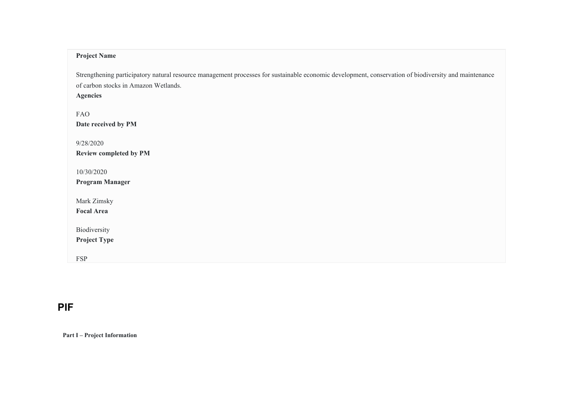# **Project Name**

Strengthening participatory natural resource management processes for sustainable economic development, conservation of biodiversity and maintenance of carbon stocks in Amazon Wetlands.

**Agencies**

FAO **Date received by PM** 9/28/2020 **Review completed by PM** 10/30/2020 **Program Manager** Mark Zimsky **Focal Area**

Biodiversity

**Project Type**

FSP

# **PIF**

**Part I – Project Information**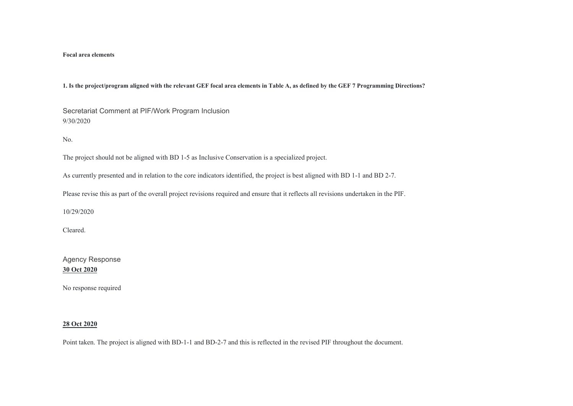#### **Focal area elements**

**1. Is the project/program aligned with the relevant GEF focal area elements in Table A, as defined by the GEF 7 Programming Directions?** 

Secretariat Comment at PIF/Work Program Inclusion 9/30/2020

No.

The project should not be aligned with BD 1-5 as Inclusive Conservation is a specialized project.

As currently presented and in relation to the core indicators identified, the project is best aligned with BD 1-1 and BD 2-7.

Please revise this as part of the overall project revisions required and ensure that it reflects all revisions undertaken in the PIF.

10/29/2020

Cleared.

Agency Response **30 Oct 2020**

No response required

#### **28 Oct 2020**

Point taken. The project is aligned with BD-1-1 and BD-2-7 and this is reflected in the revised PIF throughout the document.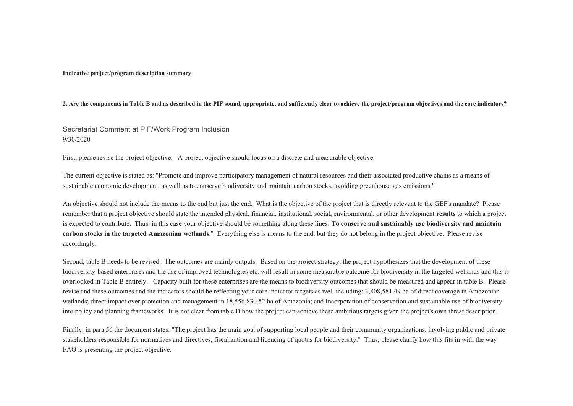**Indicative project/program description summary** 

**2. Are the components in Table B and as described in the PIF sound, appropriate, and sufficiently clear to achieve the project/program objectives and the core indicators?** 

# Secretariat Comment at PIF/Work Program Inclusion 9/30/2020

First, please revise the project objective. A project objective should focus on a discrete and measurable objective.

The current objective is stated as: "Promote and improve participatory management of natural resources and their associated productive chains as a means of sustainable economic development, as well as to conserve biodiversity and maintain carbon stocks, avoiding greenhouse gas emissions."

An objective should not include the means to the end but just the end. What is the objective of the project that is directly relevant to the GEF's mandate? Please remember that a project objective should state the intended physical, financial, institutional, social, environmental, or other development **results** to which a project is expected to contribute. Thus, in this case your objective should be something along these lines: **To conserve and sustainably use biodiversity and maintain carbon stocks in the targeted Amazonian wetlands**." Everything else is means to the end, but they do not belong in the project objective. Please revise accordingly.

Second, table B needs to be revised. The outcomes are mainly outputs. Based on the project strategy, the project hypothesizes that the development of these biodiversity-based enterprises and the use of improved technologies etc. will result in some measurable outcome for biodiversity in the targeted wetlands and this is overlooked in Table B entirely. Capacity built for these enterprises are the means to biodiversity outcomes that should be measured and appear in table B. Please revise and these outcomes and the indicators should be reflecting your core indicator targets as well including: 3,808,581.49 ha of direct coverage in Amazonian wetlands; direct impact over protection and management in 18,556,830.52 ha of Amazonia; and Incorporation of conservation and sustainable use of biodiversity into policy and planning frameworks. It is not clear from table B how the project can achieve these ambitious targets given the project's own threat description.

Finally, in para 56 the document states: "The project has the main goal of supporting local people and their community organizations, involving public and private stakeholders responsible for normatives and directives, fiscalization and licencing of quotas for biodiversity." Thus, please clarify how this fits in with the way FAO is presenting the project objective.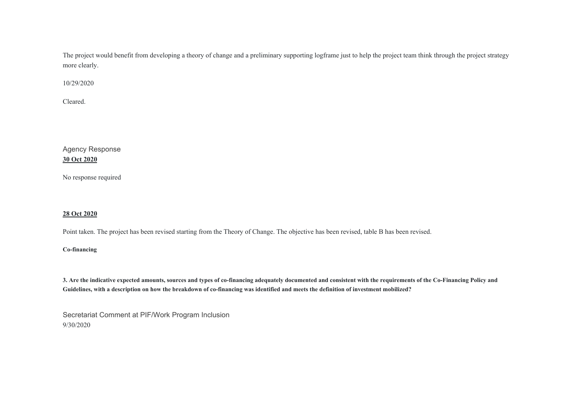The project would benefit from developing a theory of change and a preliminary supporting logframe just to help the project team think through the project strategy more clearly.

10/29/2020

Cleared.

Agency Response **30 Oct 2020**

No response required

# **28 Oct 2020**

Point taken. The project has been revised starting from the Theory of Change. The objective has been revised, table B has been revised.

## **Co-financing**

**3. Are the indicative expected amounts, sources and types of co-financing adequately documented and consistent with the requirements of the Co-Financing Policy and Guidelines, with a description on how the breakdown of co-financing was identified and meets the definition of investment mobilized?** 

Secretariat Comment at PIF/Work Program Inclusion 9/30/2020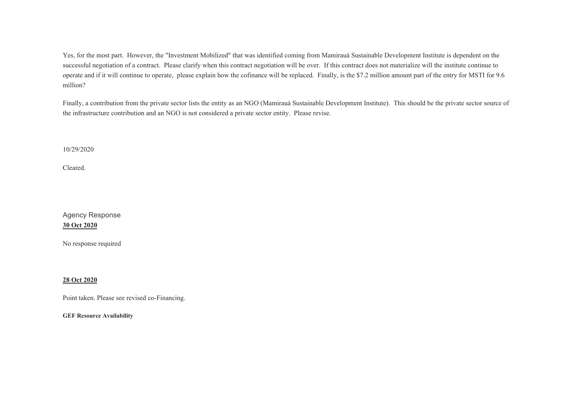Yes, for the most part. However, the "Investment Mobilized" that was identified coming from Mamirauá Sustainable Development Institute is dependent on the successful negotiation of a contract. Please clarify when this contract negotiation will be over. If this contract does not materialize will the institute continue to operate and if it will continue to operate, please explain how the cofinance will be replaced. Finally, is the \$7.2 million amount part of the entry for MSTI for 9.6 million?

Finally, a contribution from the private sector lists the entity as an NGO (Mamirauá Sustainable Development Institute). This should be the private sector source of the infrastructure contribution and an NGO is not considered a private sector entity. Please revise.

10/29/2020

Cleared.

Agency Response **30 Oct 2020**

No response required

#### **28 Oct 2020**

Point taken. Please see revised co-Financing.

**GEF Resource Availability**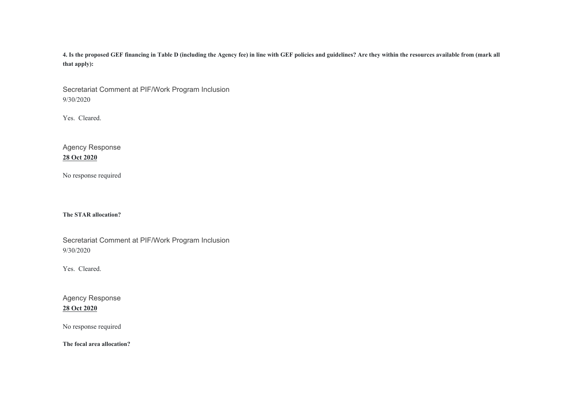**4. Is the proposed GEF financing in Table D (including the Agency fee) in line with GEF policies and guidelines? Are they within the resources available from (mark all that apply):** 

Secretariat Comment at PIF/Work Program Inclusion 9/30/2020

Yes. Cleared.

Agency Response **28 Oct 2020**

No response required

**The STAR allocation?** 

Secretariat Comment at PIF/Work Program Inclusion 9/30/2020

Yes. Cleared.

Agency Response **28 Oct 2020**

No response required

**The focal area allocation?**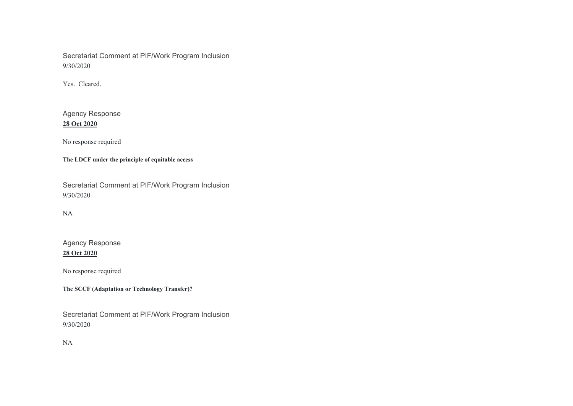Secretariat Comment at PIF/Work Program Inclusion 9/30/2020

Yes. Cleared.

Agency Response **28 Oct 2020**

No response required

**The LDCF under the principle of equitable access** 

Secretariat Comment at PIF/Work Program Inclusion 9/30/2020

NA

Agency Response **28 Oct 2020**

No response required

**The SCCF (Adaptation or Technology Transfer)?** 

Secretariat Comment at PIF/Work Program Inclusion 9/30/2020

NA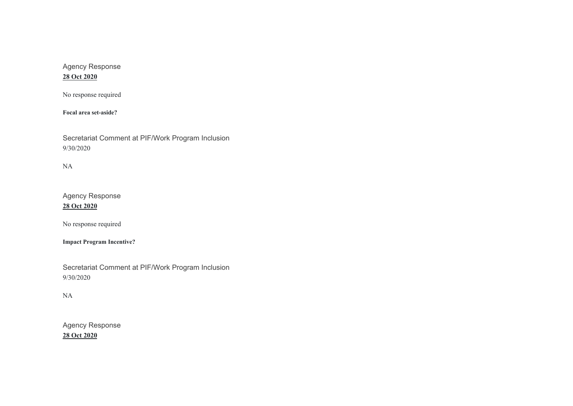# Agency Response

# **28 Oct 2020**

No response required

**Focal area set-aside?** 

Secretariat Comment at PIF/Work Program Inclusion 9/30/2020

NA

Agency Response **28 Oct 2020**

No response required

**Impact Program Incentive?** 

Secretariat Comment at PIF/Work Program Inclusion 9/30/2020

# NA

Agency Response **28 Oct 2020**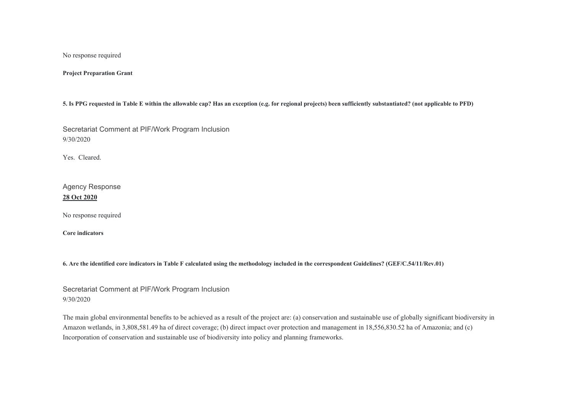No response required

**Project Preparation Grant** 

**5. Is PPG requested in Table E within the allowable cap? Has an exception (e.g. for regional projects) been sufficiently substantiated? (not applicable to PFD)** 

Secretariat Comment at PIF/Work Program Inclusion 9/30/2020

Yes. Cleared.

Agency Response **28 Oct 2020**

No response required

**Core indicators** 

**6. Are the identified core indicators in Table F calculated using the methodology included in the correspondent Guidelines? (GEF/C.54/11/Rev.01)** 

Secretariat Comment at PIF/Work Program Inclusion 9/30/2020

The main global environmental benefits to be achieved as a result of the project are: (a) conservation and sustainable use of globally significant biodiversity in Amazon wetlands, in 3,808,581.49 ha of direct coverage; (b) direct impact over protection and management in 18,556,830.52 ha of Amazonia; and (c) Incorporation of conservation and sustainable use of biodiversity into policy and planning frameworks.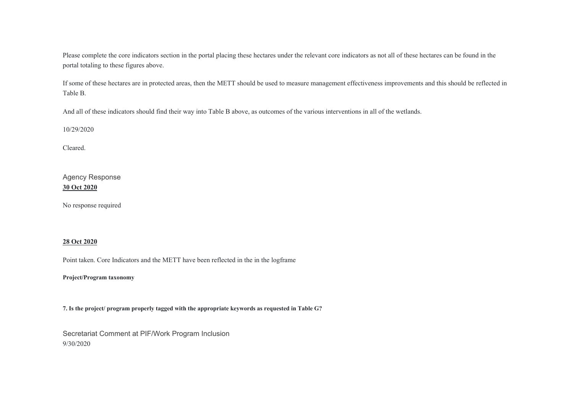Please complete the core indicators section in the portal placing these hectares under the relevant core indicators as not all of these hectares can be found in the portal totaling to these figures above.

If some of these hectares are in protected areas, then the METT should be used to measure management effectiveness improvements and this should be reflected in Table B.

And all of these indicators should find their way into Table B above, as outcomes of the various interventions in all of the wetlands.

10/29/2020

Cleared.

Agency Response **30 Oct 2020**

No response required

### **28 Oct 2020**

Point taken. Core Indicators and the METT have been reflected in the in the logframe

**Project/Program taxonomy** 

**7. Is the project/ program properly tagged with the appropriate keywords as requested in Table G?** 

Secretariat Comment at PIF/Work Program Inclusion 9/30/2020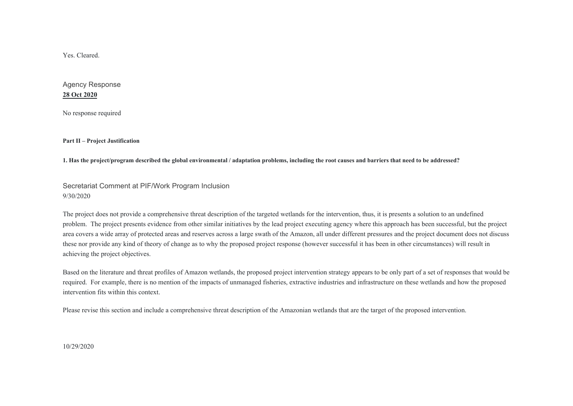Yes. Cleared.

Agency Response **28 Oct 2020**

No response required

**Part II – Project Justification** 

**1. Has the project/program described the global environmental / adaptation problems, including the root causes and barriers that need to be addressed?** 

Secretariat Comment at PIF/Work Program Inclusion 9/30/2020

The project does not provide a comprehensive threat description of the targeted wetlands for the intervention, thus, it is presents a solution to an undefined problem. The project presents evidence from other similar initiatives by the lead project executing agency where this approach has been successful, but the project area covers a wide array of protected areas and reserves across a large swath of the Amazon, all under different pressures and the project document does not discuss these nor provide any kind of theory of change as to why the proposed project response (however successful it has been in other circumstances) will result in achieving the project objectives.

Based on the literature and threat profiles of Amazon wetlands, the proposed project intervention strategy appears to be only part of a set of responses that would be required. For example, there is no mention of the impacts of unmanaged fisheries, extractive industries and infrastructure on these wetlands and how the proposed intervention fits within this context.

Please revise this section and include a comprehensive threat description of the Amazonian wetlands that are the target of the proposed intervention.

10/29/2020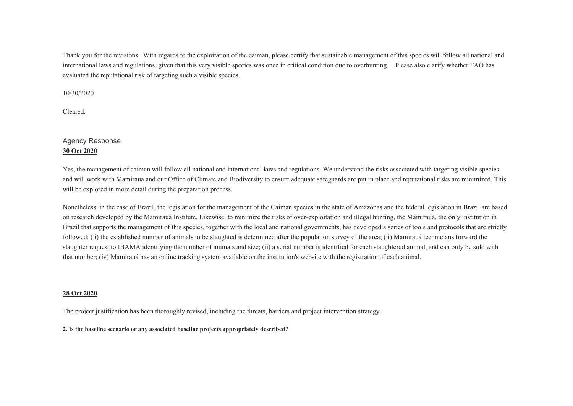Thank you for the revisions. With regards to the exploitation of the caiman, please certify that sustainable management of this species will follow all national and international laws and regulations, given that this very visible species was once in critical condition due to overhunting. Please also clarify whether FAO has evaluated the reputational risk of targeting such a visible species.

10/30/2020

Cleared.

# Agency Response **30 Oct 2020**

Yes, the management of caiman will follow all national and international laws and regulations. We understand the risks associated with targeting visible species and will work with Mamiraua and our Office of Climate and Biodiversity to ensure adequate safeguards are put in place and reputational risks are minimized. This will be explored in more detail during the preparation process.

Nonetheless, in the case of Brazil, the legislation for the management of the Caiman species in the state of Amazônas and the federal legislation in Brazil are based on research developed by the Mamirauá Institute. Likewise, to minimize the risks of over-exploitation and illegal hunting, the Mamirauá, the only institution in Brazil that supports the management of this species, together with the local and national governments, has developed a series of tools and protocols that are strictly followed: ( i) the established number of animals to be slaughted is determined after the population survey of the area; (ii) Mamirauá technicians forward the slaughter request to IBAMA identifying the number of animals and size; (ii) a serial number is identified for each slaughtered animal, and can only be sold with that number; (iv) Mamirauá has an online tracking system available on the institution's website with the registration of each animal.

#### **28 Oct 2020**

The project justification has been thoroughly revised, including the threats, barriers and project intervention strategy.

#### **2. Is the baseline scenario or any associated baseline projects appropriately described?**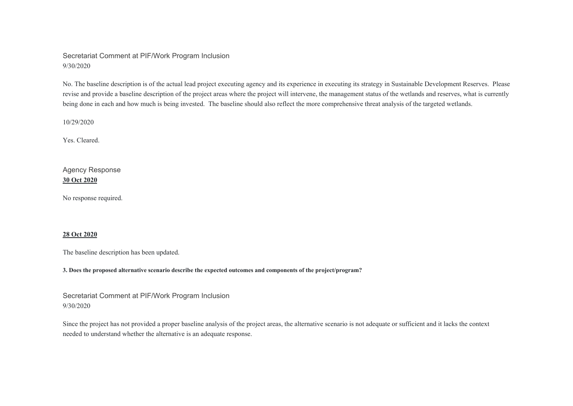# Secretariat Comment at PIF/Work Program Inclusion 9/30/2020

No. The baseline description is of the actual lead project executing agency and its experience in executing its strategy in Sustainable Development Reserves. Please revise and provide a baseline description of the project areas where the project will intervene, the management status of the wetlands and reserves, what is currently being done in each and how much is being invested. The baseline should also reflect the more comprehensive threat analysis of the targeted wetlands.

10/29/2020

Yes. Cleared.

Agency Response **30 Oct 2020**

No response required.

#### **28 Oct 2020**

The baseline description has been updated.

**3. Does the proposed alternative scenario describe the expected outcomes and components of the project/program?** 

Secretariat Comment at PIF/Work Program Inclusion 9/30/2020

Since the project has not provided a proper baseline analysis of the project areas, the alternative scenario is not adequate or sufficient and it lacks the context needed to understand whether the alternative is an adequate response.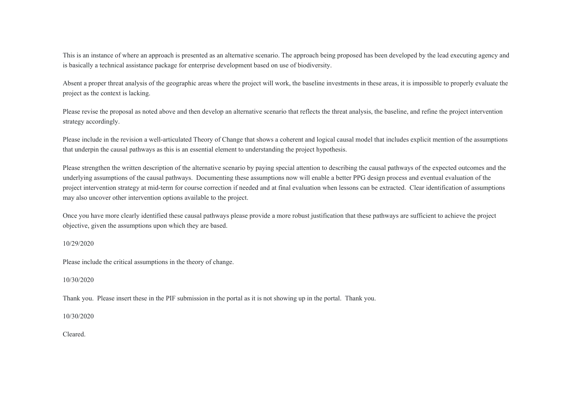This is an instance of where an approach is presented as an alternative scenario. The approach being proposed has been developed by the lead executing agency and is basically a technical assistance package for enterprise development based on use of biodiversity.

Absent a proper threat analysis of the geographic areas where the project will work, the baseline investments in these areas, it is impossible to properly evaluate the project as the context is lacking.

Please revise the proposal as noted above and then develop an alternative scenario that reflects the threat analysis, the baseline, and refine the project intervention strategy accordingly.

Please include in the revision a well-articulated Theory of Change that shows a coherent and logical causal model that includes explicit mention of the assumptions that underpin the causal pathways as this is an essential element to understanding the project hypothesis.

Please strengthen the written description of the alternative scenario by paying special attention to describing the causal pathways of the expected outcomes and the underlying assumptions of the causal pathways. Documenting these assumptions now will enable a better PPG design process and eventual evaluation of the project intervention strategy at mid-term for course correction if needed and at final evaluation when lessons can be extracted. Clear identification of assumptions may also uncover other intervention options available to the project.

Once you have more clearly identified these causal pathways please provide a more robust justification that these pathways are sufficient to achieve the project objective, given the assumptions upon which they are based.

10/29/2020

Please include the critical assumptions in the theory of change.

10/30/2020

Thank you. Please insert these in the PIF submission in the portal as it is not showing up in the portal. Thank you.

10/30/2020

Cleared.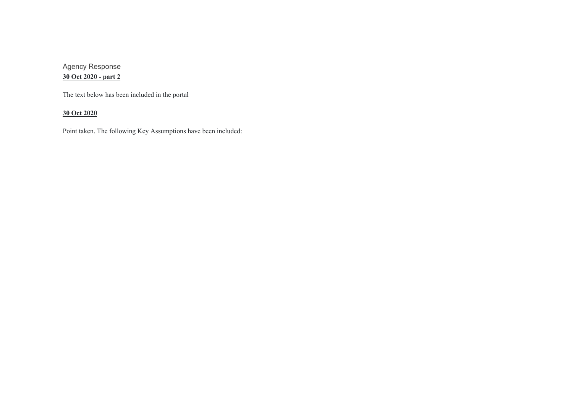Agency Response **30 Oct 2020 - part 2**

The text below has been included in the portal

**30 Oct 2020**

Point taken. The following Key Assumptions have been included: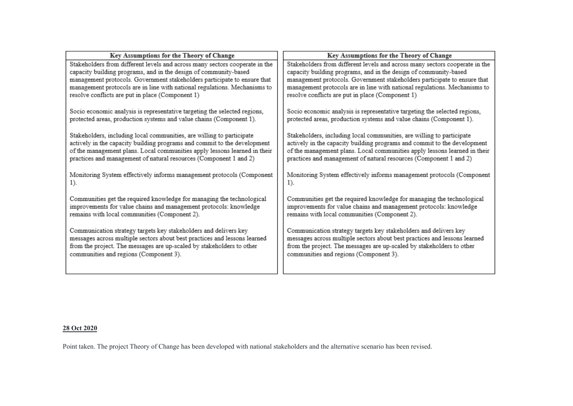| Stakeholders from different levels and across many sectors cooperate in the                                                                                                                                                                                                                         |
|-----------------------------------------------------------------------------------------------------------------------------------------------------------------------------------------------------------------------------------------------------------------------------------------------------|
| capacity building programs, and in the design of community-based<br>management protocols. Government stakeholders participate to ensure that<br>management protocols are in line with national regulations. Mechanisms to<br>resolve conflicts are put in place (Component 1)                       |
| Socio economic analysis is representative targeting the selected regions,<br>protected areas, production systems and value chains (Component 1).                                                                                                                                                    |
| Stakeholders, including local communities, are willing to participate<br>actively in the capacity building programs and commit to the development<br>of the management plans. Local communities apply lessons learned in their<br>practices and management of natural resources (Component 1 and 2) |
| Monitoring System effectively informs management protocols (Component                                                                                                                                                                                                                               |
| Communities get the required knowledge for managing the technological<br>improvements for value chains and management protocols: knowledge<br>remains with local communities (Component 2).                                                                                                         |
| Communication strategy targets key stakeholders and delivers key<br>messages across multiple sectors about best practices and lessons learned<br>from the project. The messages are up-scaled by stakeholders to other<br>communities and regions (Component 3).                                    |
|                                                                                                                                                                                                                                                                                                     |

# **28 Oct 2020**

Point taken. The project Theory of Change has been developed with national stakeholders and the alternative scenario has been revised.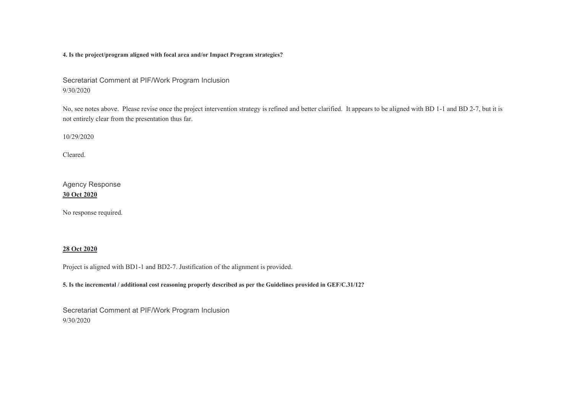**4. Is the project/program aligned with focal area and/or Impact Program strategies?** 

Secretariat Comment at PIF/Work Program Inclusion 9/30/2020

No, see notes above. Please revise once the project intervention strategy is refined and better clarified. It appears to be aligned with BD 1-1 and BD 2-7, but it is not entirely clear from the presentation thus far.

10/29/2020

Cleared.

Agency Response **30 Oct 2020**

No response required.

#### **28 Oct 2020**

Project is aligned with BD1-1 and BD2-7. Justification of the alignment is provided.

**5. Is the incremental / additional cost reasoning properly described as per the Guidelines provided in GEF/C.31/12?** 

Secretariat Comment at PIF/Work Program Inclusion 9/30/2020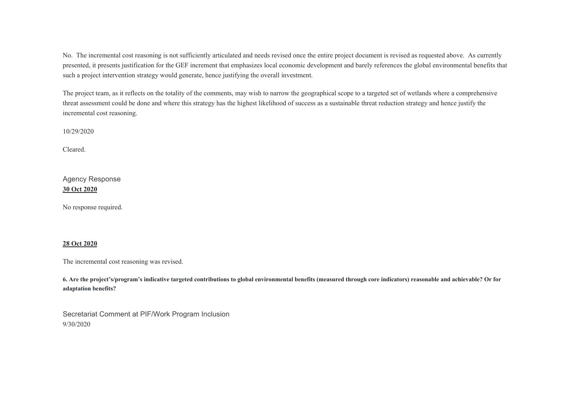No. The incremental cost reasoning is not sufficiently articulated and needs revised once the entire project document is revised as requested above. As currently presented, it presents justification for the GEF increment that emphasizes local economic development and barely references the global environmental benefits that such a project intervention strategy would generate, hence justifying the overall investment.

The project team, as it reflects on the totality of the comments, may wish to narrow the geographical scope to a targeted set of wetlands where a comprehensive threat assessment could be done and where this strategy has the highest likelihood of success as a sustainable threat reduction strategy and hence justify the incremental cost reasoning.

10/29/2020

Cleared.

Agency Response **30 Oct 2020**

No response required.

#### **28 Oct 2020**

The incremental cost reasoning was revised.

**6. Are the project's/program's indicative targeted contributions to global environmental benefits (measured through core indicators) reasonable and achievable? Or for adaptation benefits?** 

Secretariat Comment at PIF/Work Program Inclusion 9/30/2020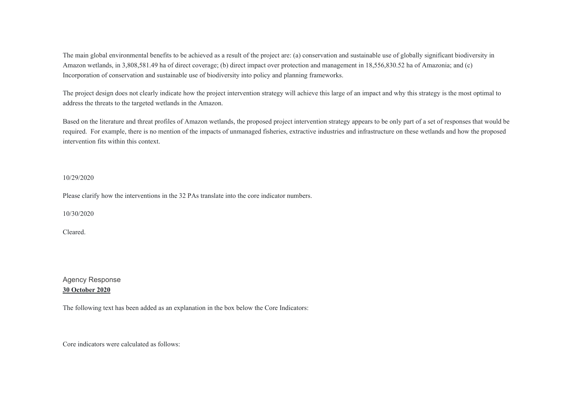The main global environmental benefits to be achieved as a result of the project are: (a) conservation and sustainable use of globally significant biodiversity in Amazon wetlands, in 3,808,581.49 ha of direct coverage; (b) direct impact over protection and management in 18,556,830.52 ha of Amazonia; and (c) Incorporation of conservation and sustainable use of biodiversity into policy and planning frameworks.

The project design does not clearly indicate how the project intervention strategy will achieve this large of an impact and why this strategy is the most optimal to address the threats to the targeted wetlands in the Amazon.

Based on the literature and threat profiles of Amazon wetlands, the proposed project intervention strategy appears to be only part of a set of responses that would be required. For example, there is no mention of the impacts of unmanaged fisheries, extractive industries and infrastructure on these wetlands and how the proposed intervention fits within this context.

#### 10/29/2020

Please clarify how the interventions in the 32 PAs translate into the core indicator numbers.

10/30/2020

Cleared.

# Agency Response **30 October 2020**

The following text has been added as an explanation in the box below the Core Indicators:

Core indicators were calculated as follows: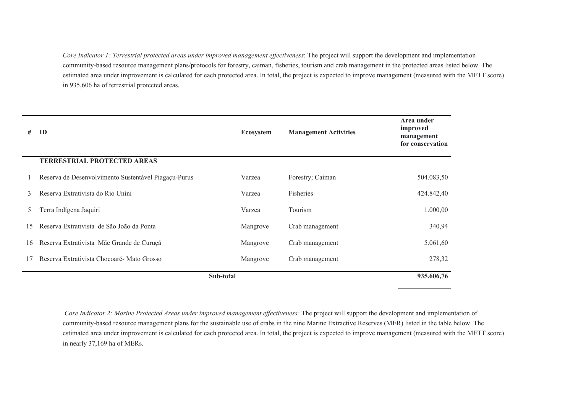*Core Indicator 1: Terrestrial protected areas under improved management effectiveness*: The project will support the development and implementation community-based resource management plans/protocols for forestry, caiman, fisheries, tourism and crab management in the protected areas listed below. The estimated area under improvement is calculated for each protected area. In total, the project is expected to improve management (measured with the METT score) in 935,606 ha of terrestrial protected areas.

| #             | ID                                                   | <b>Ecosystem</b> | <b>Management Activities</b> | Area under<br>improved<br>management<br>for conservation |
|---------------|------------------------------------------------------|------------------|------------------------------|----------------------------------------------------------|
|               | <b>TERRESTRIAL PROTECTED AREAS</b>                   |                  |                              |                                                          |
|               | Reserva de Desenvolvimento Sustentável Piagaçu-Purus | Varzea           | Forestry; Caiman             | 504.083,50                                               |
| 3             | Reserva Extrativista do Rio Unini                    | Varzea           | <b>Fisheries</b>             | 424.842,40                                               |
| $\mathcal{D}$ | Terra Indígena Jaquiri                               | Varzea           | Tourism                      | 1.000,00                                                 |
| 15            | Reserva Extrativista de São João da Ponta            | Mangrove         | Crab management              | 340,94                                                   |
| 16            | Reserva Extrativista Mãe Grande de Curuçá            | Mangrove         | Crab management              | 5.061,60                                                 |
|               | Reserva Extrativista Chocoaré - Mato Grosso          | Mangrove         | Crab management              | 278,32                                                   |
| Sub-total     |                                                      |                  |                              | 935.606,76                                               |

*Core Indicator 2: Marine Protected Areas under improved management effectiveness:* The project will support the development and implementation of community-based resource management plans for the sustainable use of crabs in the nine Marine Extractive Reserves (MER) listed in the table below. The estimated area under improvement is calculated for each protected area. In total, the project is expected to improve management (measured with the METT score) in nearly 37,169 ha of MERs.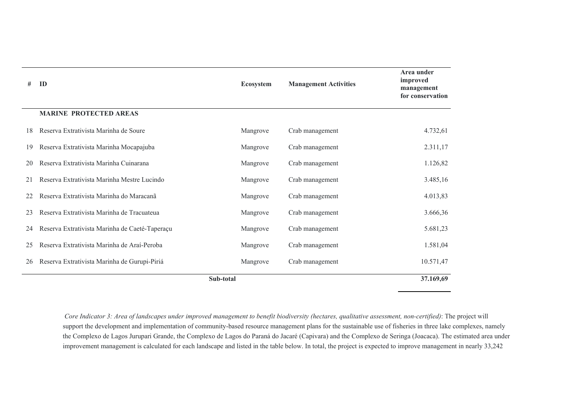| #  | ID                                             | <b>Ecosystem</b> | <b>Management Activities</b> | Area under<br>improved<br>management<br>for conservation |
|----|------------------------------------------------|------------------|------------------------------|----------------------------------------------------------|
|    | <b>MARINE PROTECTED AREAS</b>                  |                  |                              |                                                          |
| 18 | Reserva Extrativista Marinha de Soure          | Mangrove         | Crab management              | 4.732,61                                                 |
| 19 | Reserva Extrativista Marinha Mocapajuba        | Mangrove         | Crab management              | 2.311,17                                                 |
| 20 | Reserva Extrativista Marinha Cuinarana         | Mangrove         | Crab management              | 1.126,82                                                 |
| 21 | Reserva Extrativista Marinha Mestre Lucindo    | Mangrove         | Crab management              | 3.485,16                                                 |
|    | Reserva Extrativista Marinha do Maracanã       | Mangrove         | Crab management              | 4.013,83                                                 |
| 23 | Reserva Extrativista Marinha de Tracuateua     | Mangrove         | Crab management              | 3.666,36                                                 |
| 24 | Reserva Extrativista Marinha de Caeté-Taperaçu | Mangrove         | Crab management              | 5.681,23                                                 |
| 25 | Reserva Extrativista Marinha de Araí-Peroba    | Mangrove         | Crab management              | 1.581,04                                                 |
| 26 | Reserva Extrativista Marinha de Gurupi-Piriá   | Mangrove         | Crab management              | 10.571,47                                                |
|    | Sub-total                                      |                  |                              | 37.169,69                                                |

*Core Indicator 3: Area of landscapes under improved management to benefit biodiversity (hectares, qualitative assessment, non-certified)*: The project will support the development and implementation of community-based resource management plans for the sustainable use of fisheries in three lake complexes, namely the Complexo de Lagos Jurupari Grande, the Complexo de Lagos do Paraná do Jacaré (Capivara) and the Complexo de Seringa (Joacaca). The estimated area under improvement management is calculated for each landscape and listed in the table below. In total, the project is expected to improve management in nearly 33,242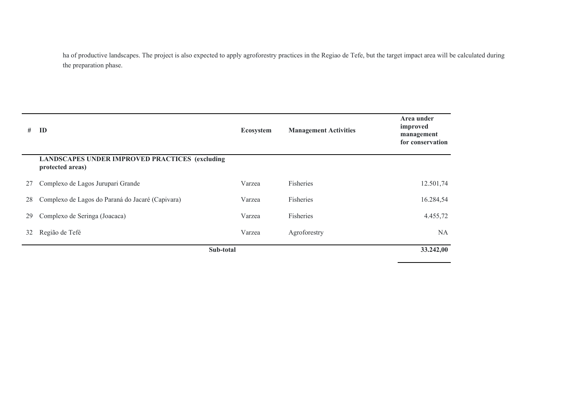ha of productive landscapes. The project is also expected to apply agroforestry practices in the Regiao de Tefe, but the target impact area will be calculated during the preparation phase.

| #         | ID                                                                        | Ecosystem | <b>Management Activities</b> | Area under<br>improved<br>management<br>for conservation |
|-----------|---------------------------------------------------------------------------|-----------|------------------------------|----------------------------------------------------------|
|           | <b>LANDSCAPES UNDER IMPROVED PRACTICES (excluding</b><br>protected areas) |           |                              |                                                          |
| 27        | Complexo de Lagos Jurupari Grande                                         | Varzea    | Fisheries                    | 12.501,74                                                |
| 28        | Complexo de Lagos do Paraná do Jacaré (Capivara)                          | Varzea    | Fisheries                    | 16.284,54                                                |
| 29        | Complexo de Seringa (Joacaca)                                             | Varzea    | Fisheries                    | 4.455,72                                                 |
| 32        | Região de Tefé                                                            | Varzea    | Agroforestry                 | <b>NA</b>                                                |
| Sub-total |                                                                           |           |                              | 33.242,00                                                |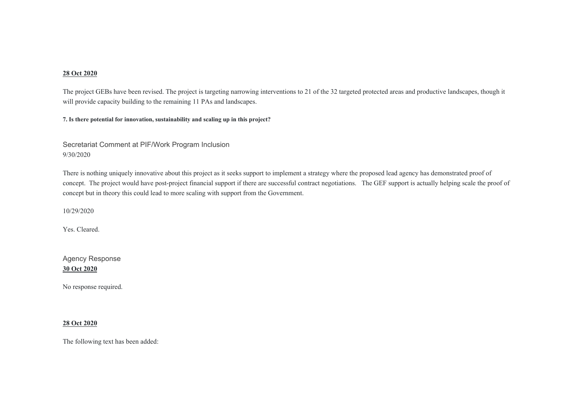## **28 Oct 2020**

The project GEBs have been revised. The project is targeting narrowing interventions to 21 of the 32 targeted protected areas and productive landscapes, though it will provide capacity building to the remaining 11 PAs and landscapes.

**7. Is there potential for innovation, sustainability and scaling up in this project?** 

Secretariat Comment at PIF/Work Program Inclusion 9/30/2020

There is nothing uniquely innovative about this project as it seeks support to implement a strategy where the proposed lead agency has demonstrated proof of concept. The project would have post-project financial support if there are successful contract negotiations. The GEF support is actually helping scale the proof of concept but in theory this could lead to more scaling with support from the Government.

10/29/2020

Yes. Cleared.

Agency Response **30 Oct 2020**

No response required.

## **28 Oct 2020**

The following text has been added: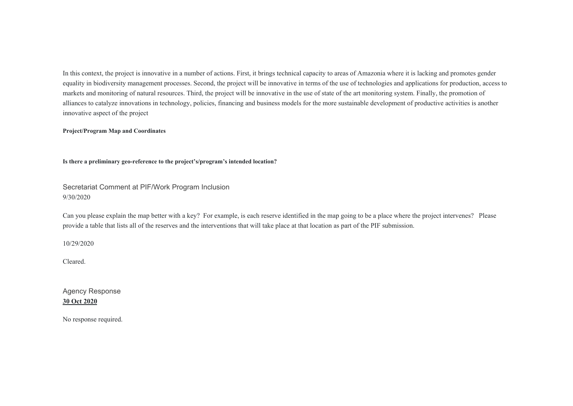In this context, the project is innovative in a number of actions. First, it brings technical capacity to areas of Amazonia where it is lacking and promotes gender equality in biodiversity management processes. Second, the project will be innovative in terms of the use of technologies and applications for production, access to markets and monitoring of natural resources. Third, the project will be innovative in the use of state of the art monitoring system. Finally, the promotion of alliances to catalyze innovations in technology, policies, financing and business models for the more sustainable development of productive activities is another innovative aspect of the project

#### **Project/Program Map and Coordinates**

**Is there a preliminary geo-reference to the project's/program's intended location?** 

Secretariat Comment at PIF/Work Program Inclusion 9/30/2020

Can you please explain the map better with a key? For example, is each reserve identified in the map going to be a place where the project intervenes? Please provide a table that lists all of the reserves and the interventions that will take place at that location as part of the PIF submission.

10/29/2020

Cleared.

Agency Response **30 Oct 2020**

No response required.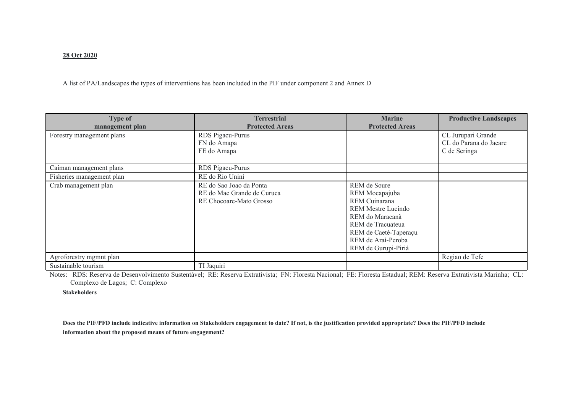## **28 Oct 2020**

A list of PA/Landscapes the types of interventions has been included in the PIF under component 2 and Annex D

| <b>Type of</b><br>management plan | <b>Terrestrial</b><br><b>Protected Areas</b>                                     | <b>Marine</b><br><b>Protected Areas</b>                                                                                                                                                    | <b>Productive Landscapes</b>                                 |
|-----------------------------------|----------------------------------------------------------------------------------|--------------------------------------------------------------------------------------------------------------------------------------------------------------------------------------------|--------------------------------------------------------------|
| Forestry management plans         | RDS Pigacu-Purus<br>FN do Amapa<br>FE do Amapa                                   |                                                                                                                                                                                            | CL Jurupari Grande<br>CL do Parana do Jacare<br>C de Seringa |
| Caiman management plans           | RDS Pigacu-Purus                                                                 |                                                                                                                                                                                            |                                                              |
| Fisheries management plan         | RE do Rio Unini                                                                  |                                                                                                                                                                                            |                                                              |
| Crab management plan              | RE do Sao Joao da Ponta<br>RE do Mae Grande de Curuca<br>RE Chocoare-Mato Grosso | REM de Soure<br>REM Mocapajuba<br>REM Cuinarana<br><b>REM Mestre Lucindo</b><br>REM do Maracanã<br>REM de Tracuateua<br>REM de Caeté-Taperaçu<br>REM de Araí-Peroba<br>REM de Gurupi-Piriá |                                                              |
| Agroforestry mgmnt plan           |                                                                                  |                                                                                                                                                                                            | Regiao de Tefe                                               |
| Sustainable tourism               | TI Jaquiri                                                                       |                                                                                                                                                                                            |                                                              |

Notes: RDS: Reserva de Desenvolvimento Sustentável; RE: Reserva Extrativista; FN: Floresta Nacional; FE: Floresta Estadual; REM: Reserva Extrativista Marinha; CL: Complexo de Lagos; C: Complexo

**Stakeholders** 

**Does the PIF/PFD include indicative information on Stakeholders engagement to date? If not, is the justification provided appropriate? Does the PIF/PFD include information about the proposed means of future engagement?**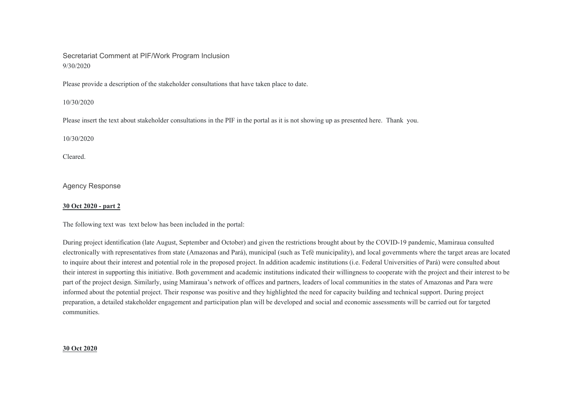# Secretariat Comment at PIF/Work Program Inclusion 9/30/2020

Please provide a description of the stakeholder consultations that have taken place to date.

#### 10/30/2020

Please insert the text about stakeholder consultations in the PIF in the portal as it is not showing up as presented here. Thank you.

10/30/2020

Cleared.

Agency Response

## **30 Oct 2020 - part 2**

The following text was text below has been included in the portal:

During project identification (late August, September and October) and given the restrictions brought about by the COVID-19 pandemic, Mamiraua consulted electronically with representatives from state (Amazonas and Pará), municipal (such as Tefé municipality), and local governments where the target areas are located to inquire about their interest and potential role in the proposed project. In addition academic institutions (i.e. Federal Universities of Pará) were consulted about their interest in supporting this initiative. Both government and academic institutions indicated their willingness to cooperate with the project and their interest to be part of the project design. Similarly, using Mamiraua's network of offices and partners, leaders of local communities in the states of Amazonas and Para were informed about the potential project. Their response was positive and they highlighted the need for capacity building and technical support. During project preparation, a detailed stakeholder engagement and participation plan will be developed and social and economic assessments will be carried out for targeted communities.

# **30 Oct 2020**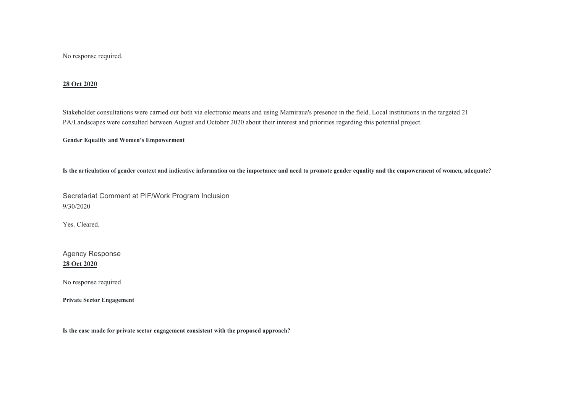No response required.

#### **28 Oct 2020**

Stakeholder consultations were carried out both via electronic means and using Mamiraua's presence in the field. Local institutions in the targeted 21 PA/Landscapes were consulted between August and October 2020 about their interest and priorities regarding this potential project.

**Gender Equality and Women's Empowerment** 

**Is the articulation of gender context and indicative information on the importance and need to promote gender equality and the empowerment of women, adequate?** 

Secretariat Comment at PIF/Work Program Inclusion 9/30/2020

Yes. Cleared.

Agency Response **28 Oct 2020**

No response required

**Private Sector Engagement** 

**Is the case made for private sector engagement consistent with the proposed approach?**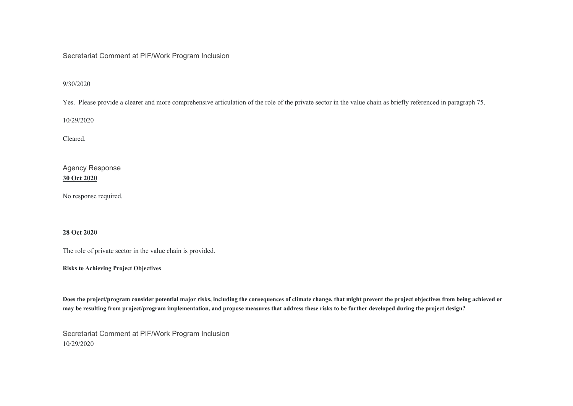# Secretariat Comment at PIF/Work Program Inclusion

9/30/2020

Yes. Please provide a clearer and more comprehensive articulation of the role of the private sector in the value chain as briefly referenced in paragraph 75.

10/29/2020

Cleared.

Agency Response **30 Oct 2020**

No response required.

## **28 Oct 2020**

The role of private sector in the value chain is provided.

**Risks to Achieving Project Objectives** 

**Does the project/program consider potential major risks, including the consequences of climate change, that might prevent the project objectives from being achieved or may be resulting from project/program implementation, and propose measures that address these risks to be further developed during the project design?** 

Secretariat Comment at PIF/Work Program Inclusion 10/29/2020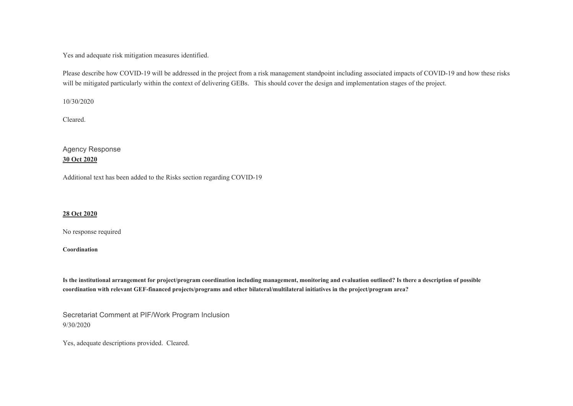Yes and adequate risk mitigation measures identified.

Please describe how COVID-19 will be addressed in the project from a risk management standpoint including associated impacts of COVID-19 and how these risks will be mitigated particularly within the context of delivering GEBs. This should cover the design and implementation stages of the project.

10/30/2020

Cleared.

Agency Response **30 Oct 2020**

Additional text has been added to the Risks section regarding COVID-19

## **28 Oct 2020**

No response required

**Coordination** 

**Is the institutional arrangement for project/program coordination including management, monitoring and evaluation outlined? Is there a description of possible coordination with relevant GEF-financed projects/programs and other bilateral/multilateral initiatives in the project/program area?** 

Secretariat Comment at PIF/Work Program Inclusion 9/30/2020

Yes, adequate descriptions provided. Cleared.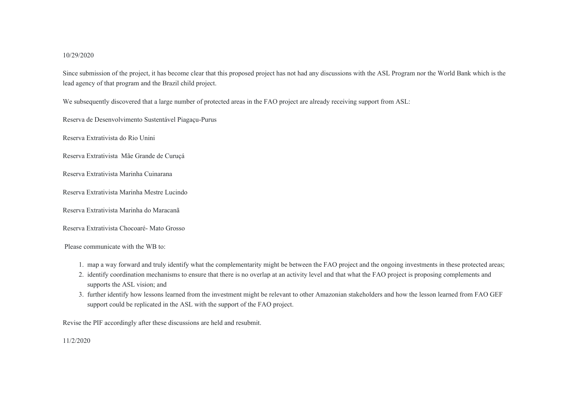#### 10/29/2020

Since submission of the project, it has become clear that this proposed project has not had any discussions with the ASL Program nor the World Bank which is the lead agency of that program and the Brazil child project.

We subsequently discovered that a large number of protected areas in the FAO project are already receiving support from ASL:

Reserva de Desenvolvimento Sustentável Piagaçu-Purus

Reserva Extrativista do Rio Unini

Reserva Extrativista Mãe Grande de Curuçá

Reserva Extrativista Marinha Cuinarana

Reserva Extrativista Marinha Mestre Lucindo

Reserva Extrativista Marinha do Maracanã

Reserva Extrativista Chocoaré- Mato Grosso

Please communicate with the WB to:

- 1. map a way forward and truly identify what the complementarity might be between the FAO project and the ongoing investments in these protected areas;
- 2. identify coordination mechanisms to ensure that there is no overlap at an activity level and that what the FAO project is proposing complements and supports the ASL vision; and
- 3. further identify how lessons learned from the investment might be relevant to other Amazonian stakeholders and how the lesson learned from FAO GEF support could be replicated in the ASL with the support of the FAO project.

Revise the PIF accordingly after these discussions are held and resubmit.

11/2/2020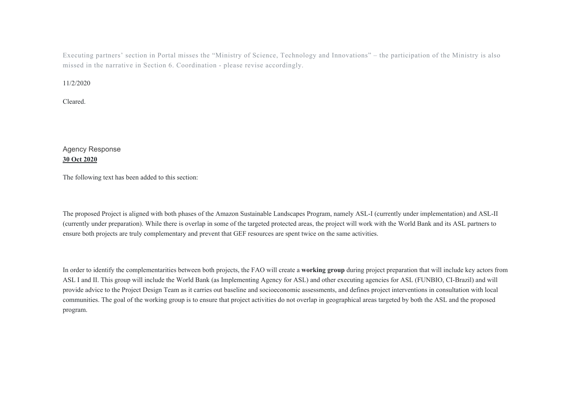Executing partners' section in Portal misses the "Ministry of Science, Technology and Innovations" – the participation of the Ministry is also missed in the narrative in Section 6. Coordination - please revise accordingly.

#### 11/2/2020

Cleared.

# Agency Response **30 Oct 2020**

The following text has been added to this section:

The proposed Project is aligned with both phases of the Amazon Sustainable Landscapes Program, namely ASL-I (currently under implementation) and ASL-II (currently under preparation). While there is overlap in some of the targeted protected areas, the project will work with the World Bank and its ASL partners to ensure both projects are truly complementary and prevent that GEF resources are spent twice on the same activities.

In order to identify the complementarities between both projects, the FAO will create a **working group** during project preparation that will include key actors from ASL I and II. This group will include the World Bank (as Implementing Agency for ASL) and other executing agencies for ASL (FUNBIO, CI-Brazil) and will provide advice to the Project Design Team as it carries out baseline and socioeconomic assessments, and defines project interventions in consultation with local communities. The goal of the working group is to ensure that project activities do not overlap in geographical areas targeted by both the ASL and the proposed program.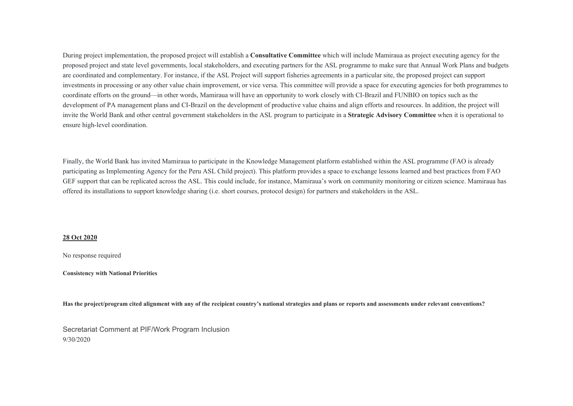During project implementation, the proposed project will establish a **Consultative Committee** which will include Mamiraua as project executing agency for the proposed project and state level governments, local stakeholders, and executing partners for the ASL programme to make sure that Annual Work Plans and budgets are coordinated and complementary. For instance, if the ASL Project will support fisheries agreements in a particular site, the proposed project can support investments in processing or any other value chain improvement, or vice versa. This committee will provide a space for executing agencies for both programmes to coordinate efforts on the ground—in other words, Mamiraua will have an opportunity to work closely with CI-Brazil and FUNBIO on topics such as the development of PA management plans and CI-Brazil on the development of productive value chains and align efforts and resources. In addition, the project will invite the World Bank and other central government stakeholders in the ASL program to participate in a **Strategic Advisory Committee** when it is operational to ensure high-level coordination.

Finally, the World Bank has invited Mamiraua to participate in the Knowledge Management platform established within the ASL programme (FAO is already participating as Implementing Agency for the Peru ASL Child project). This platform provides a space to exchange lessons learned and best practices from FAO GEF support that can be replicated across the ASL. This could include, for instance, Mamiraua's work on community monitoring or citizen science. Mamiraua has offered its installations to support knowledge sharing (i.e. short courses, protocol design) for partners and stakeholders in the ASL.

#### **28 Oct 2020**

No response required

**Consistency with National Priorities** 

**Has the project/program cited alignment with any of the recipient country's national strategies and plans or reports and assessments under relevant conventions?** 

Secretariat Comment at PIF/Work Program Inclusion 9/30/2020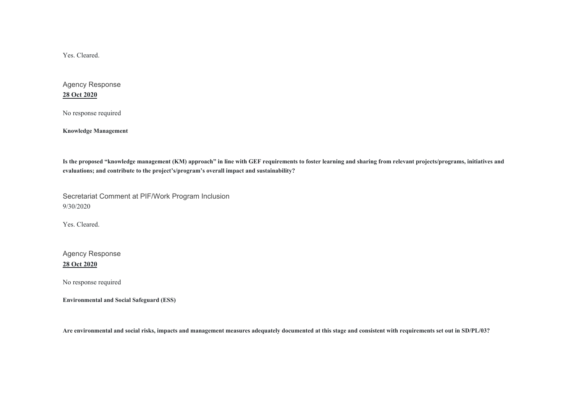Yes. Cleared.

Agency Response **28 Oct 2020**

No response required

**Knowledge Management** 

**Is the proposed "knowledge management (KM) approach" in line with GEF requirements to foster learning and sharing from relevant projects/programs, initiatives and evaluations; and contribute to the project's/program's overall impact and sustainability?** 

Secretariat Comment at PIF/Work Program Inclusion 9/30/2020

Yes. Cleared.

Agency Response **28 Oct 2020**

No response required

**Environmental and Social Safeguard (ESS)** 

**Are environmental and social risks, impacts and management measures adequately documented at this stage and consistent with requirements set out in SD/PL/03?**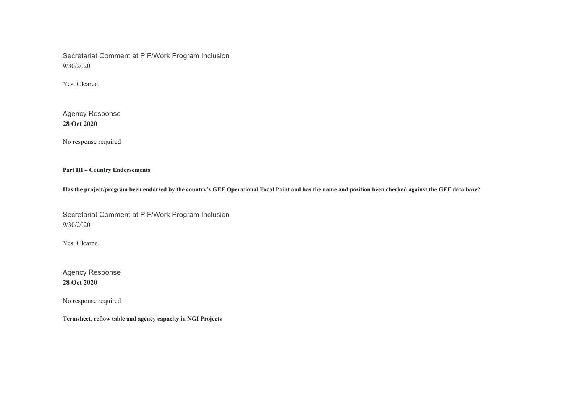Secretariat Comment at PIF/Work Program Inclusion 9/30/2020

Yes. Cleared.

Agency Response **28 Oct 2020**

No response required

**Part III – Country Endorsements** 

**Has the project/program been endorsed by the country's GEF Operational Focal Point and has the name and position been checked against the GEF data base?** 

Secretariat Comment at PIF/Work Program Inclusion 9/30/2020

Yes. Cleared.

Agency Response **28 Oct 2020**

No response required

**Termsheet, reflow table and agency capacity in NGI Projects**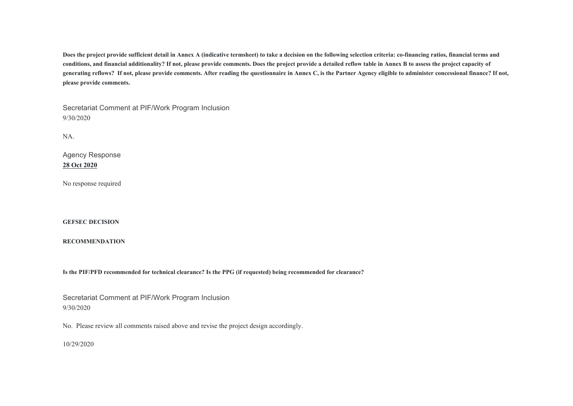**Does the project provide sufficient detail in Annex A (indicative termsheet) to take a decision on the following selection criteria: co-financing ratios, financial terms and conditions, and financial additionality? If not, please provide comments. Does the project provide a detailed reflow table in Annex B to assess the project capacity of generating reflows? If not, please provide comments. After reading the questionnaire in Annex C, is the Partner Agency eligible to administer concessional finance? If not, please provide comments.** 

Secretariat Comment at PIF/Work Program Inclusion 9/30/2020

NA.

Agency Response **28 Oct 2020**

No response required

**GEFSEC DECISION** 

**RECOMMENDATION** 

**Is the PIF/PFD recommended for technical clearance? Is the PPG (if requested) being recommended for clearance?** 

Secretariat Comment at PIF/Work Program Inclusion 9/30/2020

No. Please review all comments raised above and revise the project design accordingly.

10/29/2020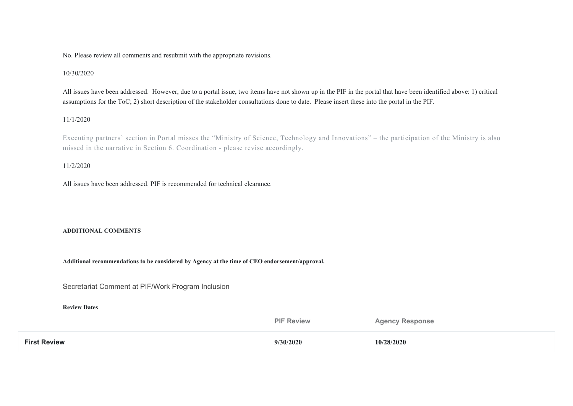No. Please review all comments and resubmit with the appropriate revisions.

## 10/30/2020

All issues have been addressed. However, due to a portal issue, two items have not shown up in the PIF in the portal that have been identified above: 1) critical assumptions for the ToC; 2) short description of the stakeholder consultations done to date. Please insert these into the portal in the PIF.

## 11/1/2020

Executing partners' section in Portal misses the "Ministry of Science, Technology and Innovations" – the participation of the Ministry is also missed in the narrative in Section 6. Coordination - please revise accordingly.

#### 11/2/2020

All issues have been addressed. PIF is recommended for technical clearance.

#### **ADDITIONAL COMMENTS**

**Additional recommendations to be considered by Agency at the time of CEO endorsement/approval.** 

Secretariat Comment at PIF/Work Program Inclusion

**Review Dates** 

**PIF Review Agency Response First Review 9/30/2020 10/28/2020**